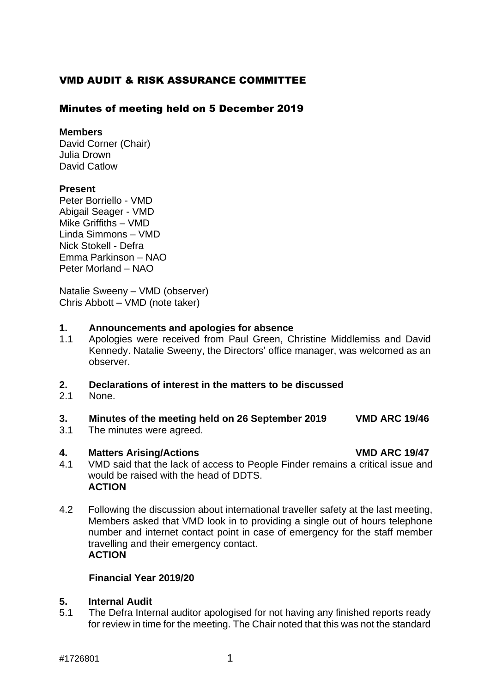# VMD AUDIT & RISK ASSURANCE COMMITTEE

## Minutes of meeting held on 5 December 2019

#### **Members**

David Corner (Chair) Julia Drown David Catlow

## **Present**

Peter Borriello - VMD Abigail Seager - VMD Mike Griffiths – VMD Linda Simmons – VMD Nick Stokell - Defra Emma Parkinson – NAO Peter Morland – NAO

Natalie Sweeny – VMD (observer) Chris Abbott – VMD (note taker)

#### **1. Announcements and apologies for absence**

1.1 Apologies were received from Paul Green, Christine Middlemiss and David Kennedy. Natalie Sweeny, the Directors' office manager, was welcomed as an observer.

## **2. Declarations of interest in the matters to be discussed**

2.1 None.

## **3. Minutes of the meeting held on 26 September 2019 VMD ARC 19/46**

3.1 The minutes were agreed.

## **4. Matters Arising/Actions VMD ARC 19/47**

- 
- 4.1 VMD said that the lack of access to People Finder remains a critical issue and would be raised with the head of DDTS. **ACTION**
- 4.2 Following the discussion about international traveller safety at the last meeting, Members asked that VMD look in to providing a single out of hours telephone number and internet contact point in case of emergency for the staff member travelling and their emergency contact. **ACTION**

## **Financial Year 2019/20**

## **5. Internal Audit**

5.1 The Defra Internal auditor apologised for not having any finished reports ready for review in time for the meeting. The Chair noted that this was not the standard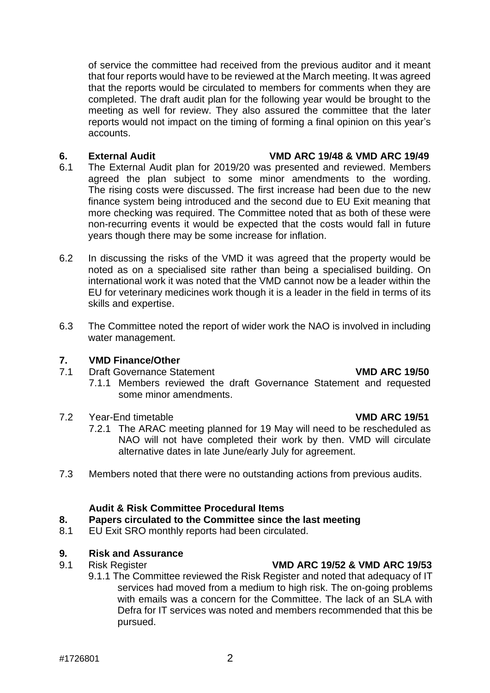of service the committee had received from the previous auditor and it meant that four reports would have to be reviewed at the March meeting. It was agreed that the reports would be circulated to members for comments when they are completed. The draft audit plan for the following year would be brought to the meeting as well for review. They also assured the committee that the later reports would not impact on the timing of forming a final opinion on this year's accounts.

#### **6. External Audit VMD ARC 19/48 & VMD ARC 19/49**

- 6.1 The External Audit plan for 2019/20 was presented and reviewed. Members agreed the plan subject to some minor amendments to the wording. The rising costs were discussed. The first increase had been due to the new finance system being introduced and the second due to EU Exit meaning that more checking was required. The Committee noted that as both of these were non-recurring events it would be expected that the costs would fall in future years though there may be some increase for inflation.
- 6.2 In discussing the risks of the VMD it was agreed that the property would be noted as on a specialised site rather than being a specialised building. On international work it was noted that the VMD cannot now be a leader within the EU for veterinary medicines work though it is a leader in the field in terms of its skills and expertise.
- 6.3 The Committee noted the report of wider work the NAO is involved in including water management.

## **7. VMD Finance/Other**

- 7.1 Draft Governance Statement **VMD ARC 19/50**
	- 7.1.1 Members reviewed the draft Governance Statement and requested some minor amendments.

## 7.2 Year-End timetable **VMD ARC 19/51**

- 7.2.1 The ARAC meeting planned for 19 May will need to be rescheduled as NAO will not have completed their work by then. VMD will circulate alternative dates in late June/early July for agreement.
- 7.3 Members noted that there were no outstanding actions from previous audits.

## **Audit & Risk Committee Procedural Items**

- **8. Papers circulated to the Committee since the last meeting**
- 8.1 EU Exit SRO monthly reports had been circulated.

## **9***.* **Risk and Assurance**

# 9.1 Risk Register **VMD ARC 19/52 & VMD ARC 19/53**

9.1.1 The Committee reviewed the Risk Register and noted that adequacy of IT services had moved from a medium to high risk. The on-going problems with emails was a concern for the Committee. The lack of an SLA with Defra for IT services was noted and members recommended that this be pursued.